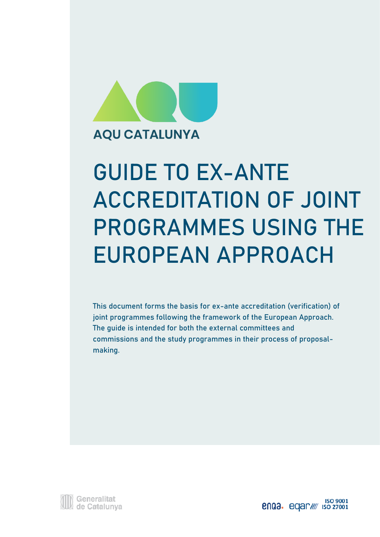

### **AQU CATALUNYA**

# **GUIDE TO EX-ANTE ACCREDITATION OF JOINT PROGRAMMES USING THE EUROPEAN APPROACH**

**This document forms the basis for ex-ante accreditation (verification) of joint programmes following the framework of the European Approach. The guide is intended for both the external committees and commissions and the study programmes in their process of proposalmaking.**



**enga.** eqar/// iso 27001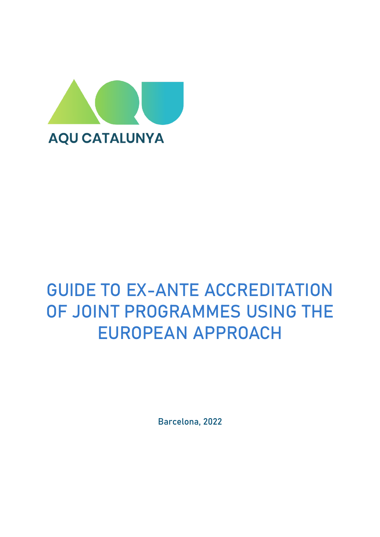

### <span id="page-2-0"></span>**GUIDE TO EX-ANTE ACCREDITATION OF JOINT PROGRAMMES USING THE EUROPEAN APPROACH**

Barcelona, 2022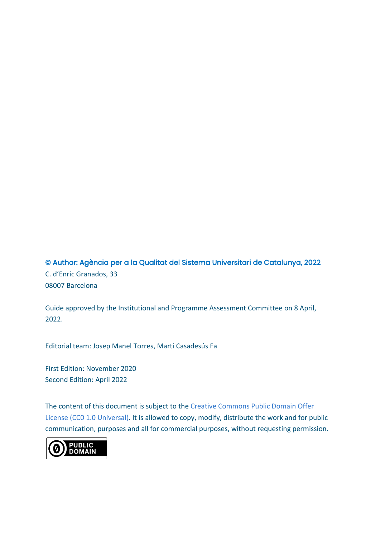© Author: Agència per a la Qualitat del Sistema Universitari de Catalunya, 2022 C. d'Enric Granados, 33 08007 Barcelona

Guide approved by the Institutional and Programme Assessment Committee on 8 April, 2022.

Editorial team: Josep Manel Torres, Martí Casadesús Fa

First Edition: November 2020 Second Edition: April 2022

The content of this document is subject to the [Creative Commons Public Domain Offer](https://creativecommons.org/publicdomain/zero/1.0/deed.en)  License [\(CC0 1.0 Universal\).](https://creativecommons.org/publicdomain/zero/1.0/deed.en) It is allowed to copy, modify, distribute the work and for public communication, purposes and all for commercial purposes, without requesting permission.

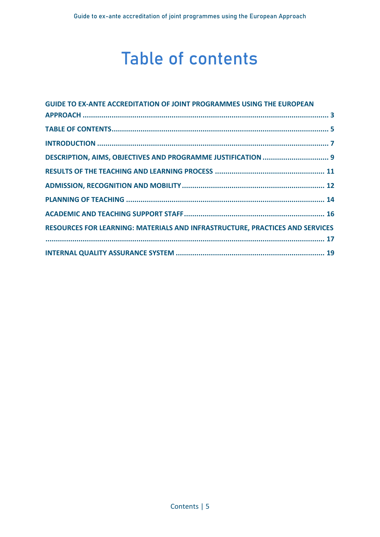### **Table of contents**

<span id="page-4-0"></span>

| <b>GUIDE TO EX-ANTE ACCREDITATION OF JOINT PROGRAMMES USING THE EUROPEAN</b> |  |
|------------------------------------------------------------------------------|--|
|                                                                              |  |
|                                                                              |  |
|                                                                              |  |
|                                                                              |  |
|                                                                              |  |
|                                                                              |  |
|                                                                              |  |
|                                                                              |  |
| RESOURCES FOR LEARNING: MATERIALS AND INFRASTRUCTURE, PRACTICES AND SERVICES |  |
|                                                                              |  |
|                                                                              |  |
|                                                                              |  |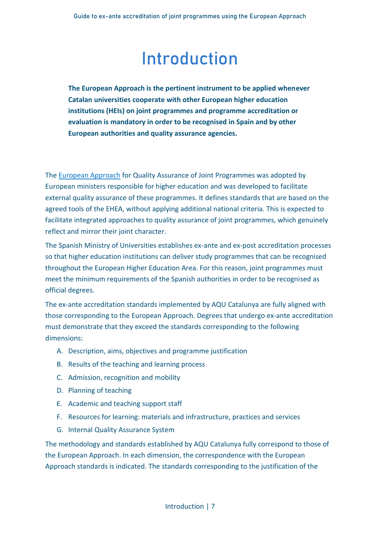### **Introduction**

<span id="page-6-0"></span>**The European Approach is the pertinent instrument to be applied whenever Catalan universities cooperate with other European higher education institutions (HEIs) on joint programmes and programme accreditation or evaluation is mandatory in order to be recognised in Spain and by other European authorities and quality assurance agencies.**

Th[e European Approach](https://www.eqar.eu/kb/joint-programmes/) for Quality Assurance of Joint Programmes was adopted by European ministers responsible for higher education and was developed to facilitate external quality assurance of these programmes. It defines standards that are based on the agreed tools of the EHEA, without applying additional national criteria. This is expected to facilitate integrated approaches to quality assurance of joint programmes, which genuinely reflect and mirror their joint character.

The Spanish Ministry of Universities establishes ex-ante and ex-post accreditation processes so that higher education institutions can deliver study programmes that can be recognised throughout the European Higher Education Area. For this reason, joint programmes must meet the minimum requirements of the Spanish authorities in order to be recognised as official degrees.

The ex-ante accreditation standards implemented by AQU Catalunya are fully aligned with those corresponding to the European Approach. Degrees that undergo ex-ante accreditation must demonstrate that they exceed the standards corresponding to the following dimensions:

- A. Description, aims, objectives and programme justification
- B. Results of the teaching and learning process
- C. Admission, recognition and mobility
- D. Planning of teaching
- E. Academic and teaching support staff
- F. Resources for learning: materials and infrastructure, practices and services
- G. Internal Quality Assurance System

The methodology and standards established by AQU Catalunya fully correspond to those of the European Approach. In each dimension, the correspondence with the European Approach standards is indicated. The standards corresponding to the justification of the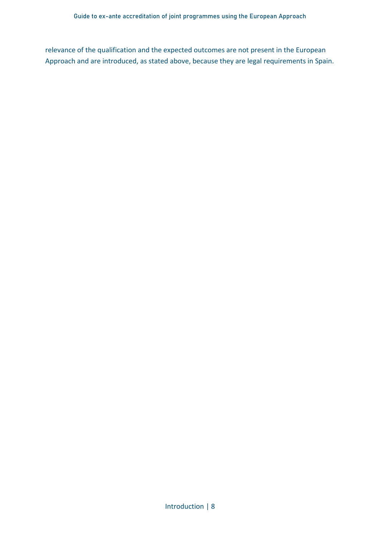relevance of the qualification and the expected outcomes are not present in the European Approach and are introduced, as stated above, because they are legal requirements in Spain.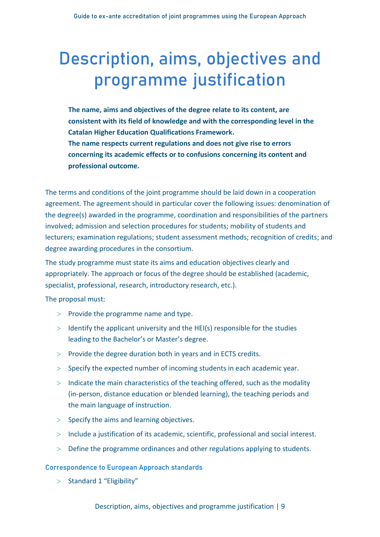## <span id="page-8-0"></span>**Description, aims, objectives and programme justification**

**The name, aims and objectives of the degree relate to its content, are consistent with its field of knowledge and with the corresponding level in the Catalan Higher Education Qualifications Framework. The name respects current regulations and does not give rise to errors concerning its academic effects or to confusions concerning its content and professional outcome.**

The terms and conditions of the joint programme should be laid down in a cooperation agreement. The agreement should in particular cover the following issues: denomination of the degree(s) awarded in the programme, coordination and responsibilities of the partners involved; admission and selection procedures for students; mobility of students and lecturers; examination regulations; student assessment methods; recognition of credits; and degree awarding procedures in the consortium.

The study programme must state its aims and education objectives clearly and appropriately. The approach or focus of the degree should be established (academic, specialist, professional, research, introductory research, etc.).

The proposal must:

- $>$  Provide the programme name and type.
- $>$  Identify the applicant university and the HEI(s) responsible for the studies leading to the Bachelor's or Master's degree.
- $>$  Provide the degree duration both in years and in ECTS credits.
- $>$  Specify the expected number of incoming students in each academic year.
- $>$  Indicate the main characteristics of the teaching offered, such as the modality (in-person, distance education or blended learning), the teaching periods and the main language of instruction.
- $>$  Specify the aims and learning objectives.
- $>$  Include a justification of its academic, scientific, professional and social interest.
- Define the programme ordinances and other regulations applying to students.

### **Correspondence to European Approach standards**

 $>$  Standard 1 "Eligibility"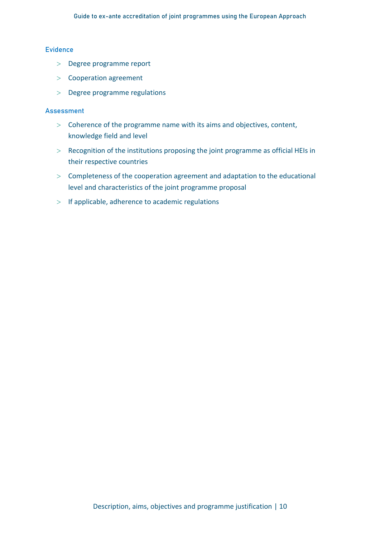### **Evidence**

- > Degree programme report
- Cooperation agreement
- > Degree programme regulations

- $>$  Coherence of the programme name with its aims and objectives, content, knowledge field and level
- $>$  Recognition of the institutions proposing the joint programme as official HEIs in their respective countries
- $>$  Completeness of the cooperation agreement and adaptation to the educational level and characteristics of the joint programme proposal
- $>$  If applicable, adherence to academic regulations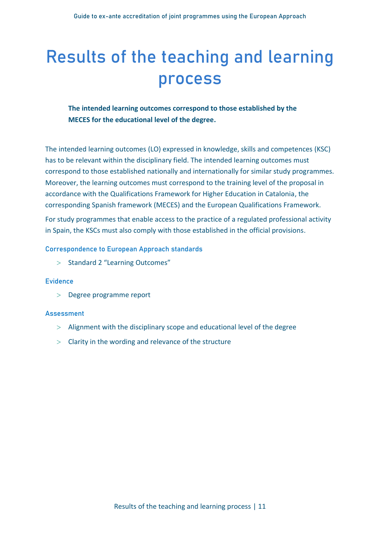### <span id="page-10-0"></span>**Results of the teaching and learning process**

### **The intended learning outcomes correspond to those established by the MECES for the educational level of the degree.**

The intended learning outcomes (LO) expressed in knowledge, skills and competences (KSC) has to be relevant within the disciplinary field. The intended learning outcomes must correspond to those established nationally and internationally for similar study programmes. Moreover, the learning outcomes must correspond to the training level of the proposal in accordance with the Qualifications Framework for Higher Education in Catalonia, the corresponding Spanish framework (MECES) and the European Qualifications Framework.

For study programmes that enable access to the practice of a regulated professional activity in Spain, the KSCs must also comply with those established in the official provisions.

### **Correspondence to European Approach standards**

 $>$  Standard 2 "Learning Outcomes"

#### **Evidence**

> Degree programme report

- $>$  Alignment with the disciplinary scope and educational level of the degree
- Clarity in the wording and relevance of the structure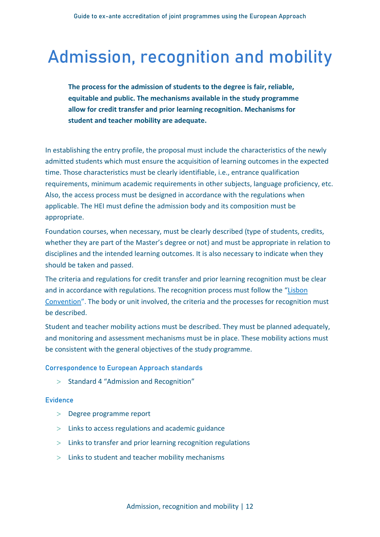### <span id="page-11-0"></span>**Admission, recognition and mobility**

**The process for the admission of students to the degree is fair, reliable, equitable and public. The mechanisms available in the study programme allow for credit transfer and prior learning recognition. Mechanisms for student and teacher mobility are adequate.**

In establishing the entry profile, the proposal must include the characteristics of the newly admitted students which must ensure the acquisition of learning outcomes in the expected time. Those characteristics must be clearly identifiable, i.e., entrance qualification requirements, minimum academic requirements in other subjects, language proficiency, etc. Also, the access process must be designed in accordance with the regulations when applicable. The HEI must define the admission body and its composition must be appropriate.

Foundation courses, when necessary, must be clearly described (type of students, credits, whether they are part of the Master's degree or not) and must be appropriate in relation to disciplines and the intended learning outcomes. It is also necessary to indicate when they should be taken and passed.

The criteria and regulations for credit transfer and prior learning recognition must be clear and in accordance with regulations. The recognition process must follow the "[Lisbon](https://rm.coe.int/CoERMPublicCommonSearchServices/DisplayDCTMContent?documentId=090000168007f2c7)  [Convention](https://rm.coe.int/CoERMPublicCommonSearchServices/DisplayDCTMContent?documentId=090000168007f2c7)". The body or unit involved, the criteria and the processes for recognition must be described.

Student and teacher mobility actions must be described. They must be planned adequately, and monitoring and assessment mechanisms must be in place. These mobility actions must be consistent with the general objectives of the study programme.

**Correspondence to European Approach standards**

 $>$  Standard 4 "Admission and Recognition"

#### **Evidence**

- > Degree programme report
- $>$  Links to access regulations and academic guidance
- $>$  Links to transfer and prior learning recognition regulations
- $>$  Links to student and teacher mobility mechanisms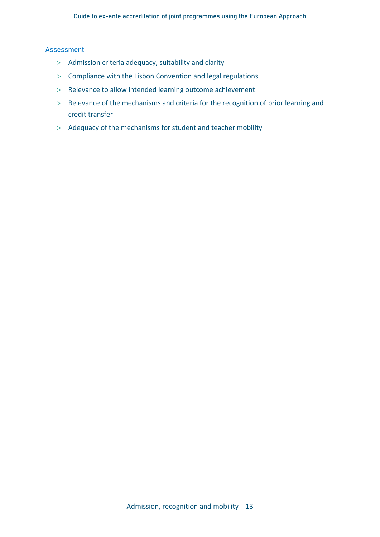- $>$  Admission criteria adequacy, suitability and clarity
- $>$  Compliance with the Lisbon Convention and legal regulations
- > Relevance to allow intended learning outcome achievement
- $>$  Relevance of the mechanisms and criteria for the recognition of prior learning and credit transfer
- $>$  Adequacy of the mechanisms for student and teacher mobility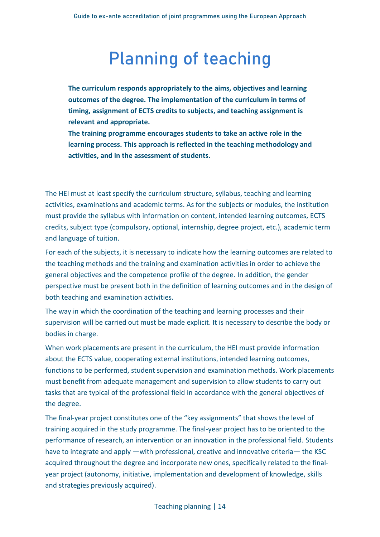### **Planning of teaching**

<span id="page-13-0"></span>**The curriculum responds appropriately to the aims, objectives and learning outcomes of the degree. The implementation of the curriculum in terms of timing, assignment of ECTS credits to subjects, and teaching assignment is relevant and appropriate.**

**The training programme encourages students to take an active role in the learning process. This approach is reflected in the teaching methodology and activities, and in the assessment of students.**

The HEI must at least specify the curriculum structure, syllabus, teaching and learning activities, examinations and academic terms. As for the subjects or modules, the institution must provide the syllabus with information on content, intended learning outcomes, ECTS credits, subject type (compulsory, optional, internship, degree project, etc.), academic term and language of tuition.

For each of the subjects, it is necessary to indicate how the learning outcomes are related to the teaching methods and the training and examination activities in order to achieve the general objectives and the competence profile of the degree. In addition, the gender perspective must be present both in the definition of learning outcomes and in the design of both teaching and examination activities.

The way in which the coordination of the teaching and learning processes and their supervision will be carried out must be made explicit. It is necessary to describe the body or bodies in charge.

When work placements are present in the curriculum, the HEI must provide information about the ECTS value, cooperating external institutions, intended learning outcomes, functions to be performed, student supervision and examination methods. Work placements must benefit from adequate management and supervision to allow students to carry out tasks that are typical of the professional field in accordance with the general objectives of the degree.

The final-year project constitutes one of the "key assignments" that shows the level of training acquired in the study programme. The final-year project has to be oriented to the performance of research, an intervention or an innovation in the professional field. Students have to integrate and apply —with professional, creative and innovative criteria— the KSC acquired throughout the degree and incorporate new ones, specifically related to the finalyear project (autonomy, initiative, implementation and development of knowledge, skills and strategies previously acquired).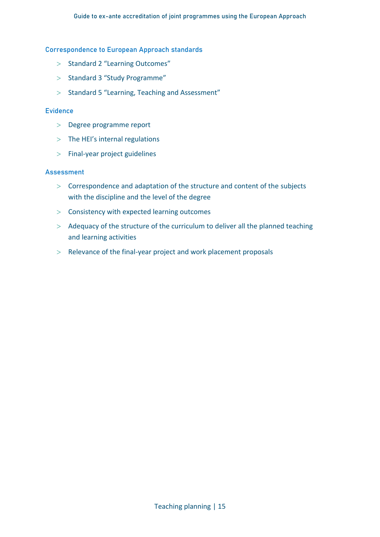#### **Correspondence to European Approach standards**

- > Standard 2 "Learning Outcomes"
- $>$  Standard 3 "Study Programme"
- > Standard 5 "Learning, Teaching and Assessment"

#### **Evidence**

- Degree programme report
- $>$  The HEI's internal regulations
- $>$  Final-year project guidelines

- $>$  Correspondence and adaptation of the structure and content of the subjects with the discipline and the level of the degree
- $>$  Consistency with expected learning outcomes
- $>$  Adequacy of the structure of the curriculum to deliver all the planned teaching and learning activities
- $>$  Relevance of the final-year project and work placement proposals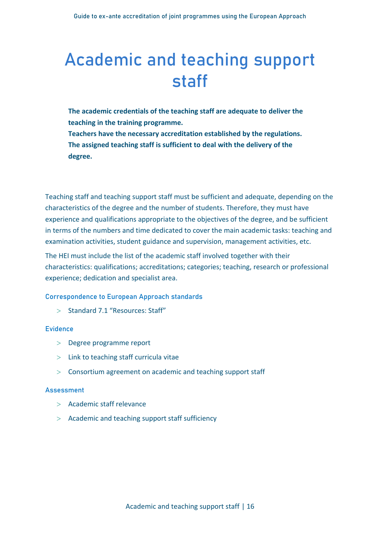### <span id="page-15-0"></span>**Academic and teaching support staff**

- **The academic credentials of the teaching staff are adequate to deliver the teaching in the training programme.**
- **Teachers have the necessary accreditation established by the regulations. The assigned teaching staff is sufficient to deal with the delivery of the degree.**

Teaching staff and teaching support staff must be sufficient and adequate, depending on the characteristics of the degree and the number of students. Therefore, they must have experience and qualifications appropriate to the objectives of the degree, and be sufficient in terms of the numbers and time dedicated to cover the main academic tasks: teaching and examination activities, student guidance and supervision, management activities, etc.

The HEI must include the list of the academic staff involved together with their characteristics: qualifications; accreditations; categories; teaching, research or professional experience; dedication and specialist area.

### **Correspondence to European Approach standards**

 $>$  Standard 7.1 "Resources: Staff"

### **Evidence**

- Degree programme report
- $>$  Link to teaching staff curricula vitae
- Consortium agreement on academic and teaching support staff

- Academic staff relevance
- Academic and teaching support staff sufficiency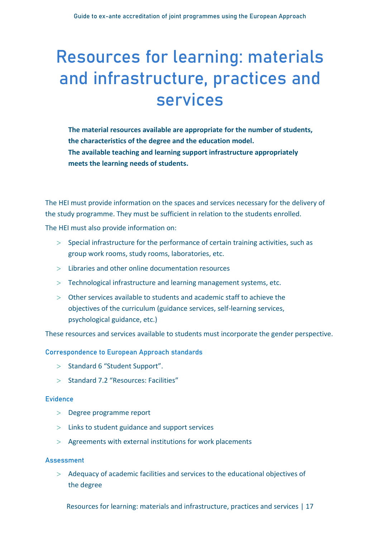## <span id="page-16-0"></span>**Resources for learning: materials and infrastructure, practices and services**

**The material resources available are appropriate for the number of students, the characteristics of the degree and the education model. The available teaching and learning support infrastructure appropriately meets the learning needs of students.**

The HEI must provide information on the spaces and services necessary for the delivery of the study programme. They must be sufficient in relation to the students enrolled.

The HEI must also provide information on:

- $>$  Special infrastructure for the performance of certain training activities, such as group work rooms, study rooms, laboratories, etc.
- $>$  Libraries and other online documentation resources
- $>$  Technological infrastructure and learning management systems, etc.
- Other services available to students and academic staff to achieve the objectives of the curriculum (guidance services, self-learning services, psychological guidance, etc.)

These resources and services available to students must incorporate the gender perspective.

**Correspondence to European Approach standards**

- $>$  Standard 6 "Student Support".
- $>$  Standard 7.2 "Resources: Facilities"

#### **Evidence**

- Degree programme report
- Links to student guidance and support services
- $>$  Agreements with external institutions for work placements

#### **Assessment**

 Adequacy of academic facilities and services to the educational objectives of the degree

Resources for learning: materials and infrastructure, practices and services | 17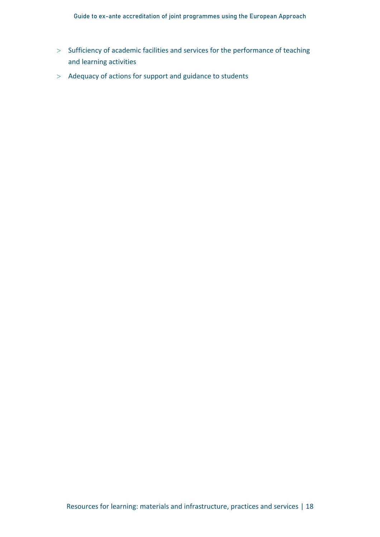- $>$  Sufficiency of academic facilities and services for the performance of teaching and learning activities
- > Adequacy of actions for support and guidance to students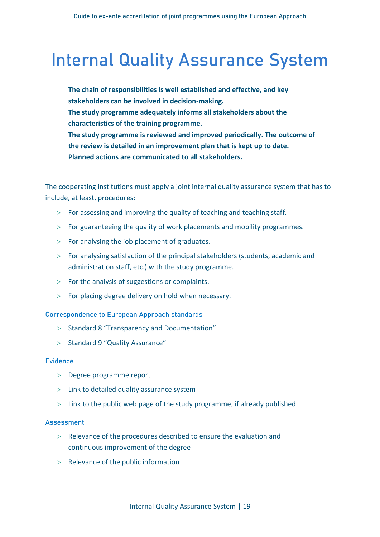### <span id="page-18-0"></span>**Internal Quality Assurance System**

**The chain of responsibilities is well established and effective, and key stakeholders can be involved in decision-making. The study programme adequately informs all stakeholders about the characteristics of the training programme. The study programme is reviewed and improved periodically. The outcome of the review is detailed in an improvement plan that is kept up to date. Planned actions are communicated to all stakeholders.**

The cooperating institutions must apply a joint internal quality assurance system that has to include, at least, procedures:

- $>$  For assessing and improving the quality of teaching and teaching staff.
- $>$  For guaranteeing the quality of work placements and mobility programmes.
- $>$  For analysing the job placement of graduates.
- For analysing satisfaction of the principal stakeholders (students, academic and administration staff, etc.) with the study programme.
- $>$  For the analysis of suggestions or complaints.
- $>$  For placing degree delivery on hold when necessary.

**Correspondence to European Approach standards**

- $>$  Standard 8 "Transparency and Documentation"
- $>$  Standard 9 "Quality Assurance"

### **Evidence**

- Degree programme report
- $>$  Link to detailed quality assurance system
- $>$  Link to the public web page of the study programme, if already published

- $>$  Relevance of the procedures described to ensure the evaluation and continuous improvement of the degree
- $>$  Relevance of the public information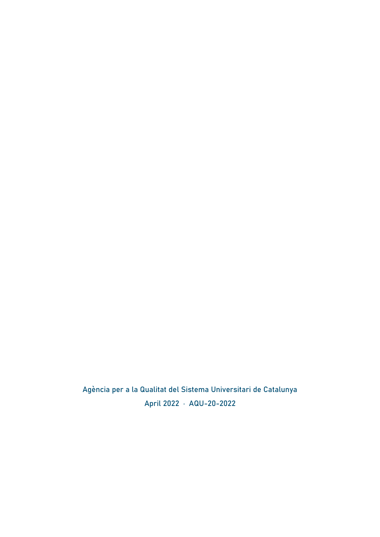Agència per a la Qualitat del Sistema Universitari de Catalunya April 2022 · AQU-20-2022